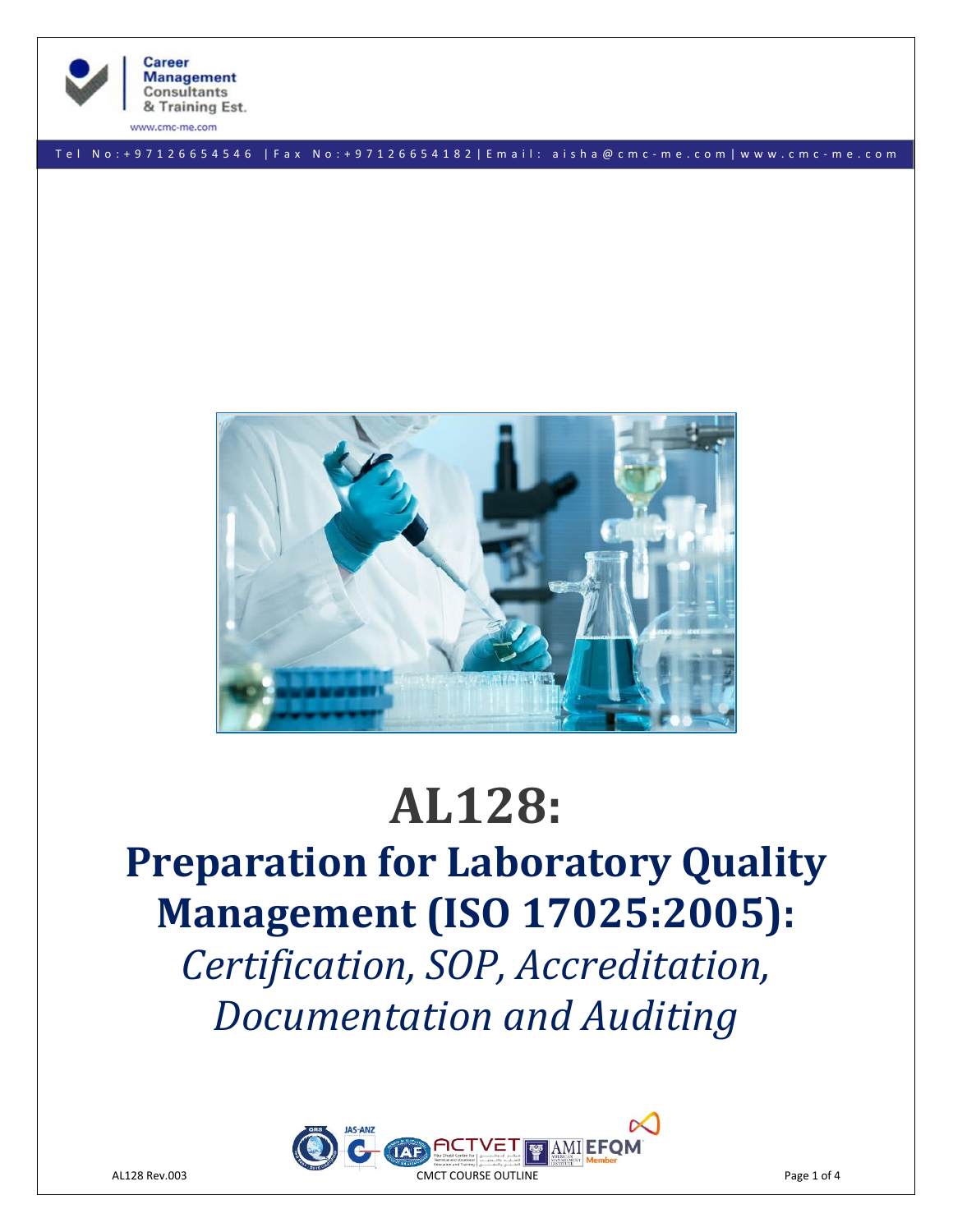

**Career Management Consultants** & Training Est.

ww.cmc-me.com

T e l N o : + 9 7 1 2 6 6 5 4 5 4 6 | F a x No: + 9 7 1 2 6 6 5 4 1 8 2 | E m a i l : a i s h a @ c m c - m e . c o m | w w w . c m c - m e . c o m



# **AL128:**

**Preparation for Laboratory Quality Management (ISO 17025:2005):** *Certification, SOP, Accreditation, Documentation and Auditing*

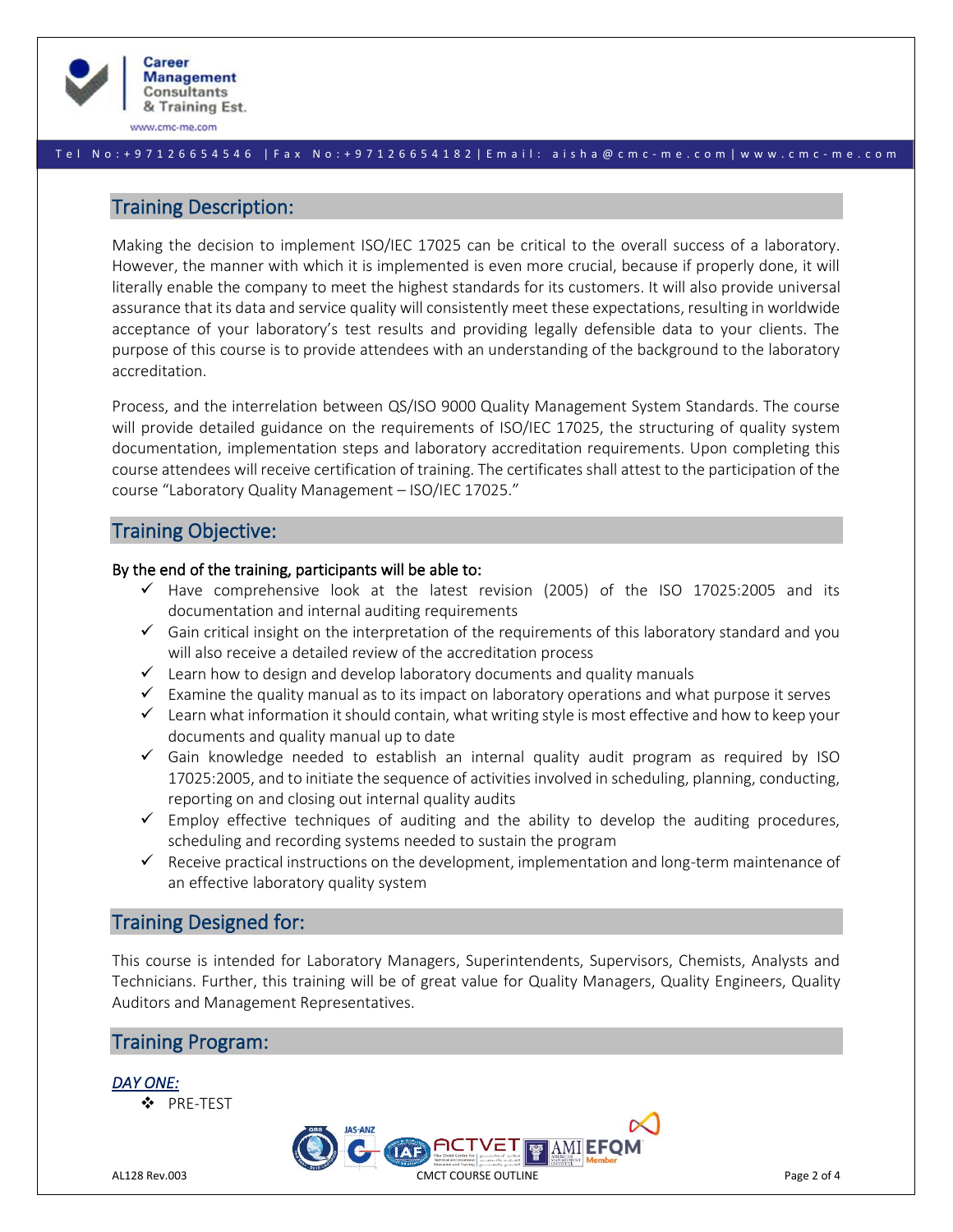

www.cmc-me.com

#### T e l N o : + 9 7 1 2 6 6 5 4 5 4 6 | F a x No: + 9 7 1 2 6 6 5 4 1 8 2 | E m a i l : a i s h a @ c m c - m e . c o m | w w w . c m c - m e . c o m

# Training Description:

Making the decision to implement ISO/IEC 17025 can be critical to the overall success of a laboratory. However, the manner with which it is implemented is even more crucial, because if properly done, it will literally enable the company to meet the highest standards for its customers. It will also provide universal assurance that its data and service quality will consistently meet these expectations, resulting in worldwide acceptance of your laboratory's test results and providing legally defensible data to your clients. The purpose of this course is to provide attendees with an understanding of the background to the laboratory accreditation.

Process, and the interrelation between QS/ISO 9000 Quality Management System Standards. The course will provide detailed guidance on the requirements of ISO/IEC 17025, the structuring of quality system documentation, implementation steps and laboratory accreditation requirements. Upon completing this course attendees will receive certification of training. The certificates shall attest to the participation of the course "Laboratory Quality Management – ISO/IEC 17025."

# Training Objective:

## By the end of the training, participants will be able to:

- $\checkmark$  Have comprehensive look at the latest revision (2005) of the ISO 17025:2005 and its documentation and internal auditing requirements
- ✓ Gain critical insight on the interpretation of the requirements of this laboratory standard and you will also receive a detailed review of the accreditation process
- ✓ Learn how to design and develop laboratory documents and quality manuals
- $\checkmark$  Examine the quality manual as to its impact on laboratory operations and what purpose it serves
- $\checkmark$  Learn what information it should contain, what writing style is most effective and how to keep your documents and quality manual up to date
- $\checkmark$  Gain knowledge needed to establish an internal quality audit program as required by ISO 17025:2005, and to initiate the sequence of activities involved in scheduling, planning, conducting, reporting on and closing out internal quality audits
- $\checkmark$  Employ effective techniques of auditing and the ability to develop the auditing procedures, scheduling and recording systems needed to sustain the program
- $\checkmark$  Receive practical instructions on the development, implementation and long-term maintenance of an effective laboratory quality system

# Training Designed for:

This course is intended for Laboratory Managers, Superintendents, Supervisors, Chemists, Analysts and Technicians. Further, this training will be of great value for Quality Managers, Quality Engineers, Quality Auditors and Management Representatives.

**AMIEFC** 

# Training Program:



❖ PRE-TEST

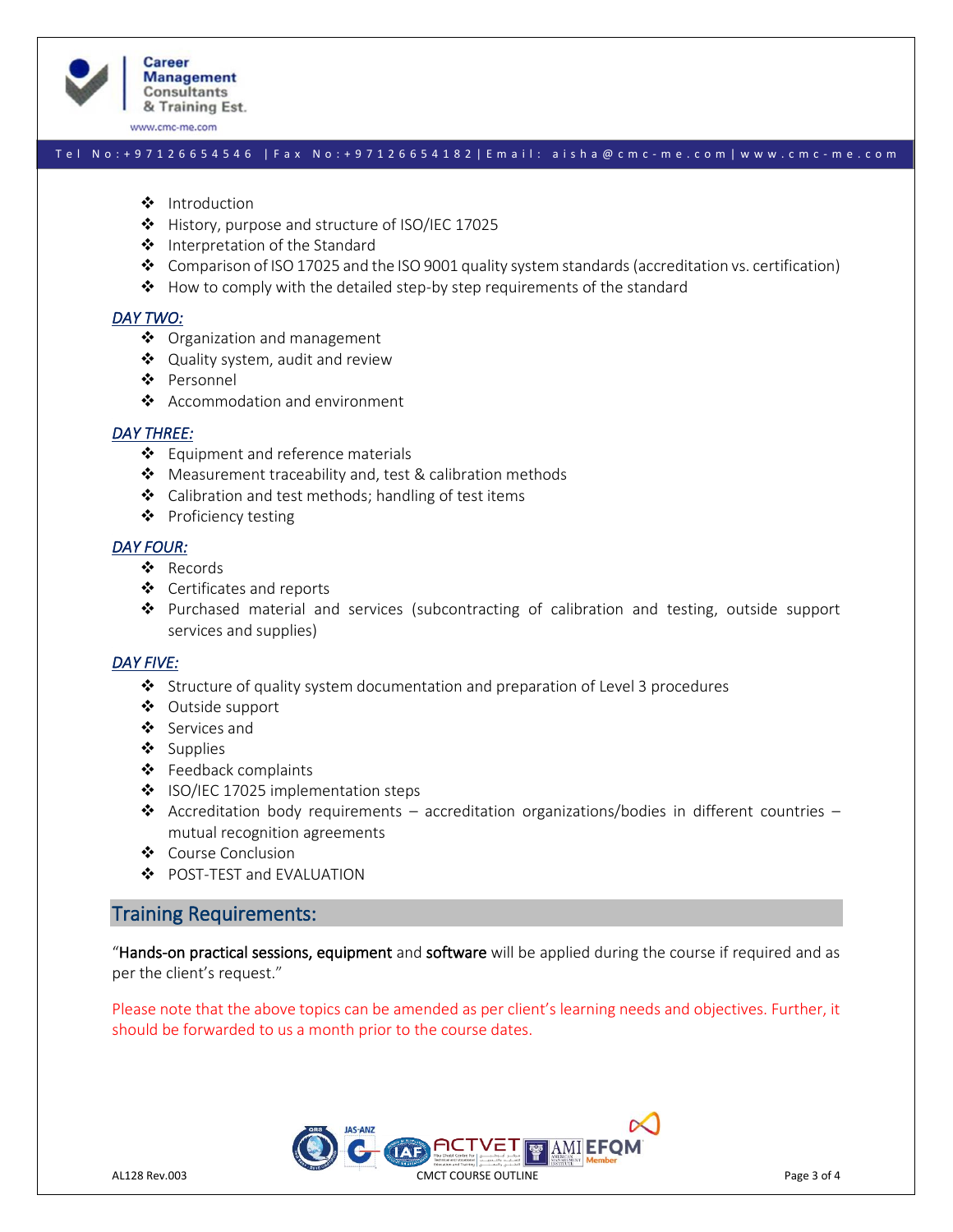

www.cmc-me.com

#### Tel No: + 9 7 1 2 6 6 5 4 5 4 6 | F a x No: + 9 7 1 2 6 6 5 4 1 8 2 | E m a i l: a i s h a @ c m c - m e . c o m | w w w . c m c - m e . c o m

- ❖ Introduction
- ❖ History, purpose and structure of ISO/IEC 17025
- ❖ Interpretation of the Standard
- ◆ Comparison of ISO 17025 and the ISO 9001 quality system standards (accreditation vs. certification)
- $\clubsuit$  How to comply with the detailed step-by step requirements of the standard

#### *DAY TWO:*

- ❖ Organization and management
- ❖ Quality system, audit and review
- ❖ Personnel
- ❖ Accommodation and environment

#### *DAY THREE:*

- ❖ Equipment and reference materials
- ❖ Measurement traceability and, test & calibration methods
- ❖ Calibration and test methods; handling of test items
- ❖ Proficiency testing

#### *DAY FOUR:*

- ❖ Records
- ❖ Certificates and reports
- ❖ Purchased material and services (subcontracting of calibration and testing, outside support services and supplies)

## *DAY FIVE:*

- ❖ Structure of quality system documentation and preparation of Level 3 procedures
- ❖ Outside support
- ❖ Services and
- ❖ Supplies
- ❖ Feedback complaints
- ❖ ISO/IEC 17025 implementation steps
- ❖ Accreditation body requirements accreditation organizations/bodies in different countries mutual recognition agreements
- ❖ Course Conclusion
- ❖ POST-TEST and EVALUATION

# Training Requirements:

"Hands-on practical sessions, equipment and software will be applied during the course if required and as per the client's request."

Please note that the above topics can be amended as per client's learning needs and objectives. Further, it should be forwarded to us a month prior to the course dates.